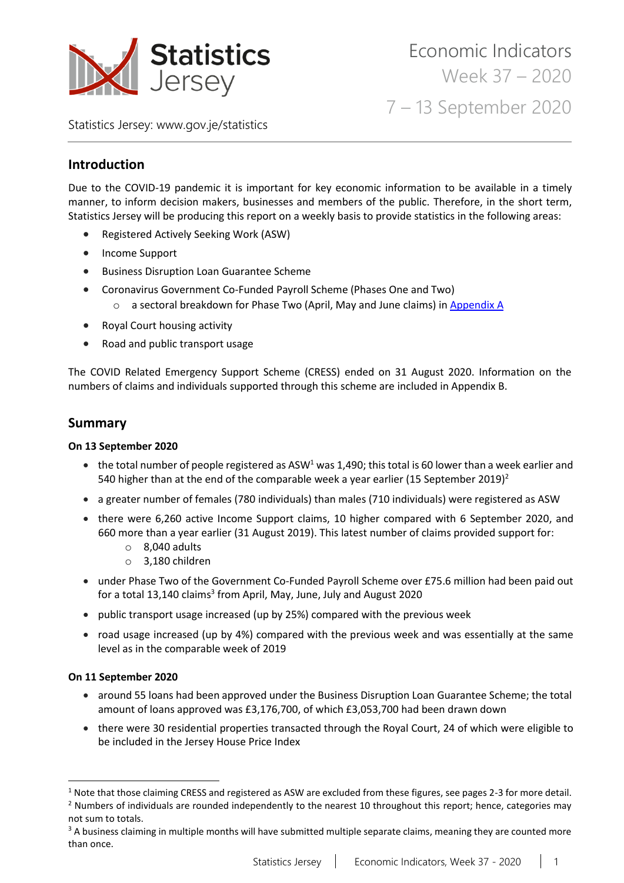

Statistics Jersey: [www.gov.je/statistics](https://www.gov.je/statistics)

# **Introduction**

Due to the COVID-19 pandemic it is important for key economic information to be available in a timely manner, to inform decision makers, businesses and members of the public. Therefore, in the short term, Statistics Jersey will be producing this report on a weekly basis to provide statistics in the following areas:

- Registered Actively Seeking Work (ASW)
- Income Support
- Business Disruption Loan Guarantee Scheme
- Coronavirus Government Co-Funded Payroll Scheme (Phases One and Two)
	- o a sectoral breakdown for Phase Two (April, May and June claims) i[n Appendix A](#page-12-0)
- Royal Court housing activity
- Road and public transport usage

The COVID Related Emergency Support Scheme (CRESS) ended on 31 August 2020. Information on the numbers of claims and individuals supported through this scheme are included in Appendix B.

## **Summary**

### **On 13 September 2020**

- the total number of people registered as ASW<sup>1</sup> was 1,490; this total is 60 lower than a week earlier and 540 higher than at the end of the comparable week a year earlier (15 September 2019)<sup>2</sup>
- a greater number of females (780 individuals) than males (710 individuals) were registered as ASW
- there were 6,260 active Income Support claims, 10 higher compared with 6 September 2020, and 660 more than a year earlier (31 August 2019). This latest number of claims provided support for:
	- $\circ$  8.040 adults
	- o 3,180 children
- under Phase Two of the Government Co-Funded Payroll Scheme over £75.6 million had been paid out for a total 13,140 claims<sup>3</sup> from April, May, June, July and August 2020
- public transport usage increased (up by 25%) compared with the previous week
- road usage increased (up by 4%) compared with the previous week and was essentially at the same level as in the comparable week of 2019

### **On 11 September 2020**

- around 55 loans had been approved under the Business Disruption Loan Guarantee Scheme; the total amount of loans approved was £3,176,700, of which £3,053,700 had been drawn down
- there were 30 residential properties transacted through the Royal Court, 24 of which were eligible to be included in the Jersey House Price Index

 $1$  Note that those claiming CRESS and registered as ASW are excluded from these figures, see pages 2-3 for more detail.  $<sup>2</sup>$  Numbers of individuals are rounded independently to the nearest 10 throughout this report; hence, categories may</sup>

not sum to totals.

<sup>&</sup>lt;sup>3</sup> A business claiming in multiple months will have submitted multiple separate claims, meaning they are counted more than once.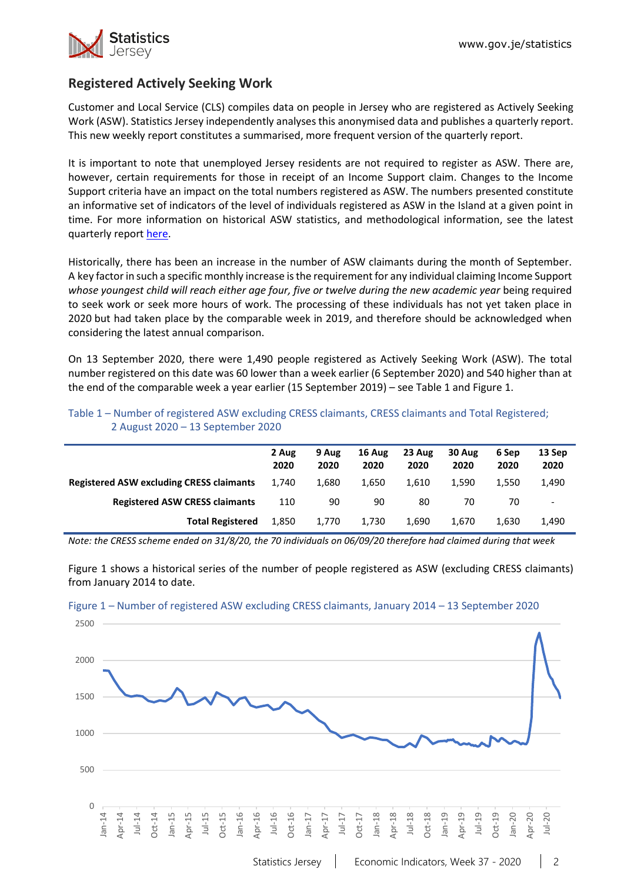

# **Registered Actively Seeking Work**

Customer and Local Service (CLS) compiles data on people in Jersey who are registered as Actively Seeking Work (ASW). Statistics Jersey independently analyses this anonymised data and publishes a quarterly report. This new weekly report constitutes a summarised, more frequent version of the quarterly report.

It is important to note that unemployed Jersey residents are not required to register as ASW. There are, however, certain requirements for those in receipt of an Income Support claim. Changes to the Income Support criteria have an impact on the total numbers registered as ASW. The numbers presented constitute an informative set of indicators of the level of individuals registered as ASW in the Island at a given point in time. For more information on historical ASW statistics, and methodological information, see the latest quarterly repor[t here.](https://www.gov.je/Government/JerseyInFigures/EmploymentEarnings/Pages/RegisteredUnemployment.aspx)

Historically, there has been an increase in the number of ASW claimants during the month of September. A key factor in such a specific monthly increase isthe requirement for any individual claiming Income Support *whose youngest child will reach either age four, five or twelve during the new academic year* being required to seek work or seek more hours of work. The processing of these individuals has not yet taken place in 2020 but had taken place by the comparable week in 2019, and therefore should be acknowledged when considering the latest annual comparison.

On 13 September 2020, there were 1,490 people registered as Actively Seeking Work (ASW). The total number registered on this date was 60 lower than a week earlier (6 September 2020) and 540 higher than at the end of the comparable week a year earlier (15 September 2019) – see Table 1 and Figure 1.

|                                                 | 2 Aug | 9 Aug | 16 Aug | 23 Aug | 30 Aug | 6 Sep | 13 Sep                   |
|-------------------------------------------------|-------|-------|--------|--------|--------|-------|--------------------------|
|                                                 | 2020  | 2020  | 2020   | 2020   | 2020   | 2020  | 2020                     |
| <b>Registered ASW excluding CRESS claimants</b> | 1.740 | 1.680 | 1.650  | 1.610  | 1.590  | 1.550 | 1,490                    |
| <b>Registered ASW CRESS claimants</b>           | 110   | 90    | 90     | 80     | 70     | 70    | $\overline{\phantom{a}}$ |
| <b>Total Registered</b>                         | 1.850 | 1.770 | 1.730  | 1.690  | 1.670  | 1.630 | 1,490                    |

Table 1 – Number of registered ASW excluding CRESS claimants, CRESS claimants and Total Registered; 2 August 2020 – 13 September 2020

*Note: the CRESS scheme ended on 31/8/20, the 70 individuals on 06/09/20 therefore had claimed during that week*

Figure 1 shows a historical series of the number of people registered as ASW (excluding CRESS claimants) from January 2014 to date.



Figure 1 – Number of registered ASW excluding CRESS claimants, January 2014 – 13 September 2020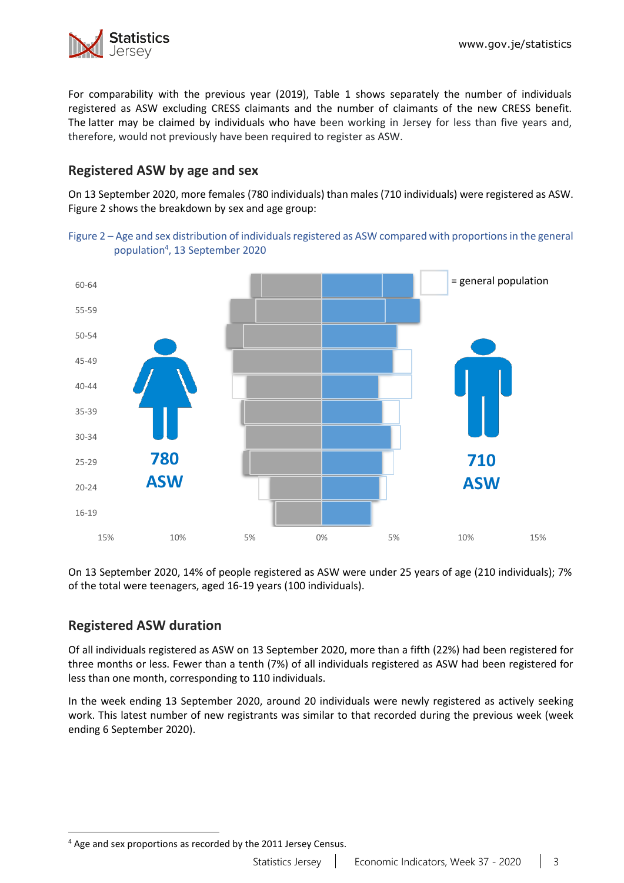

For comparability with the previous year (2019), Table 1 shows separately the number of individuals registered as ASW excluding CRESS claimants and the number of claimants of the new CRESS benefit. The latter may be claimed by individuals who have been working in Jersey for less than five years and, therefore, would not previously have been required to register as ASW.

# **Registered ASW by age and sex**

On 13 September 2020, more females (780 individuals) than males (710 individuals) were registered as ASW. Figure 2 shows the breakdown by sex and age group:





On 13 September 2020, 14% of people registered as ASW were under 25 years of age (210 individuals); 7% of the total were teenagers, aged 16-19 years (100 individuals).

# **Registered ASW duration**

Of all individuals registered as ASW on 13 September 2020, more than a fifth (22%) had been registered for three months or less. Fewer than a tenth (7%) of all individuals registered as ASW had been registered for less than one month, corresponding to 110 individuals.

In the week ending 13 September 2020, around 20 individuals were newly registered as actively seeking work. This latest number of new registrants was similar to that recorded during the previous week (week ending 6 September 2020).

<sup>4</sup> Age and sex proportions as recorded by the 2011 Jersey Census.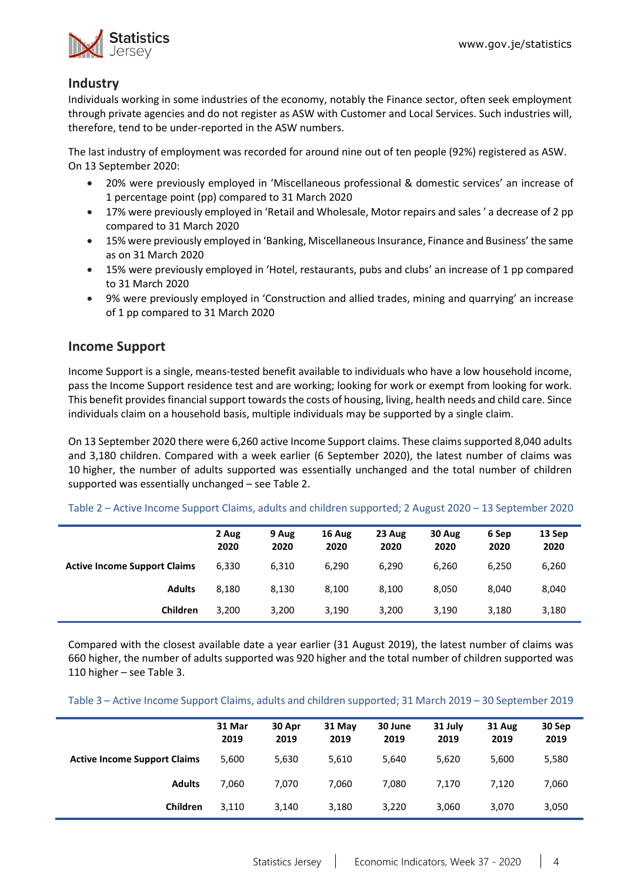

# **Industry**

Individuals working in some industries of the economy, notably the Finance sector, often seek employment through private agencies and do not register as ASW with Customer and Local Services. Such industries will, therefore, tend to be under-reported in the ASW numbers.

The last industry of employment was recorded for around nine out of ten people (92%) registered as ASW. On 13 September 2020:

- 20% were previously employed in 'Miscellaneous professional & domestic services' an increase of 1 percentage point (pp) compared to 31 March 2020
- 17% were previously employed in 'Retail and Wholesale, Motor repairs and sales ' a decrease of 2 pp compared to 31 March 2020
- 15% were previously employed in 'Banking, Miscellaneous Insurance, Finance and Business' the same as on 31 March 2020
- 15% were previously employed in 'Hotel, restaurants, pubs and clubs' an increase of 1 pp compared to 31 March 2020
- 9% were previously employed in 'Construction and allied trades, mining and quarrying' an increase of 1 pp compared to 31 March 2020

# **Income Support**

Income Support is a single, means-tested benefit available to individuals who have a low household income, pass the Income Support residence test and are working; looking for work or exempt from looking for work. This benefit provides financial support towards the costs of housing, living, health needs and child care. Since individuals claim on a household basis, multiple individuals may be supported by a single claim.

On 13 September 2020 there were 6,260 active Income Support claims. These claims supported 8,040 adults and 3,180 children. Compared with a week earlier (6 September 2020), the latest number of claims was 10 higher, the number of adults supported was essentially unchanged and the total number of children supported was essentially unchanged – see Table 2.

|                                     | 2 Aug<br>2020 | 9 Aug<br>2020 | 16 Aug<br>2020 | 23 Aug<br>2020 | 30 Aug<br>2020 | 6 Sep<br>2020 | 13 Sep<br>2020 |
|-------------------------------------|---------------|---------------|----------------|----------------|----------------|---------------|----------------|
| <b>Active Income Support Claims</b> | 6,330         | 6,310         | 6,290          | 6,290          | 6.260          | 6,250         | 6,260          |
| <b>Adults</b>                       | 8.180         | 8,130         | 8,100          | 8.100          | 8,050          | 8,040         | 8,040          |
| Children                            | 3,200         | 3,200         | 3,190          | 3,200          | 3,190          | 3,180         | 3,180          |

Table 2 – Active Income Support Claims, adults and children supported; 2 August 2020 – 13 September 2020

Compared with the closest available date a year earlier (31 August 2019), the latest number of claims was 660 higher, the number of adults supported was 920 higher and the total number of children supported was 110 higher – see Table 3.

Table 3 – Active Income Support Claims, adults and children supported; 31 March 2019 – 30 September 2019

|                                     | 31 Mar<br>2019 | 30 Apr<br>2019 | 31 May<br>2019 | 30 June<br>2019 | 31 July<br>2019 | 31 Aug<br>2019 | 30 Sep<br>2019 |
|-------------------------------------|----------------|----------------|----------------|-----------------|-----------------|----------------|----------------|
| <b>Active Income Support Claims</b> | 5,600          | 5,630          | 5,610          | 5,640           | 5,620           | 5,600          | 5,580          |
| <b>Adults</b>                       | 7,060          | 7.070          | 7.060          | 7,080           | 7.170           | 7.120          | 7,060          |
| Children                            | 3,110          | 3,140          | 3,180          | 3,220           | 3,060           | 3,070          | 3,050          |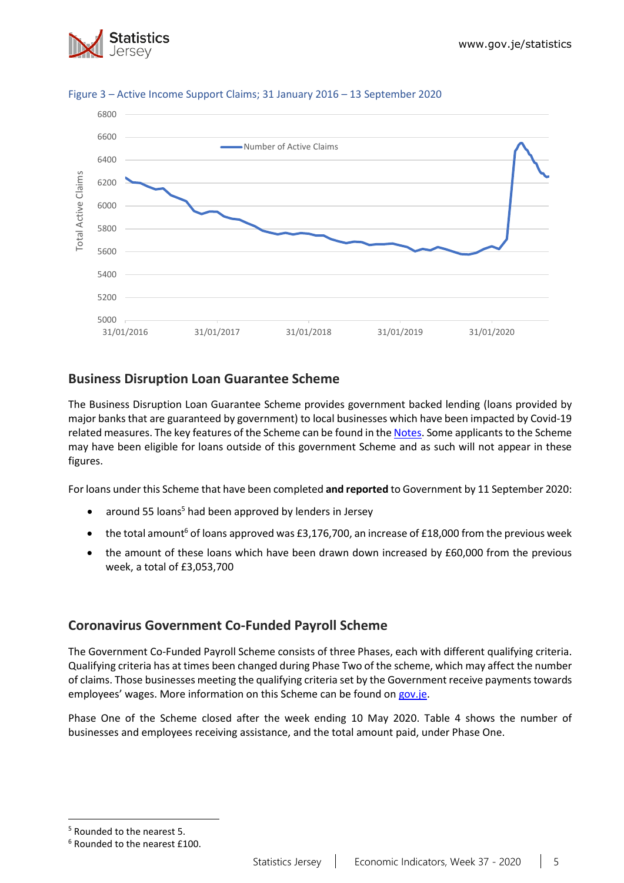



### Figure 3 – Active Income Support Claims; 31 January 2016 – 13 September 2020

# **Business Disruption Loan Guarantee Scheme**

The Business Disruption Loan Guarantee Scheme provides government backed lending (loans provided by major banks that are guaranteed by government) to local businesses which have been impacted by Covid-19 related measures. The key features of the Scheme can be found in the [Notes.](#page-11-0) Some applicants to the Scheme may have been eligible for loans outside of this government Scheme and as such will not appear in these figures.

For loans under this Scheme that have been completed **and reported** to Government by 11 September 2020:

- around 55 loans<sup>5</sup> had been approved by lenders in Jersey
- the total amount<sup>6</sup> of loans approved was £3,176,700, an increase of £18,000 from the previous week
- the amount of these loans which have been drawn down increased by £60,000 from the previous week, a total of £3,053,700

# **Coronavirus Government Co-Funded Payroll Scheme**

The Government Co-Funded Payroll Scheme consists of three Phases, each with different qualifying criteria. Qualifying criteria has at times been changed during Phase Two of the scheme, which may affect the number of claims. Those businesses meeting the qualifying criteria set by the Government receive payments towards employees' wages. More information on this Scheme can be found o[n gov.je.](https://www.gov.je/health/coronavirus/businessandemployment/pages/governmentsupportforbusinesses.aspx)

Phase One of the Scheme closed after the week ending 10 May 2020. Table 4 shows the number of businesses and employees receiving assistance, and the total amount paid, under Phase One.

<sup>5</sup> Rounded to the nearest 5.

<sup>6</sup> Rounded to the nearest £100.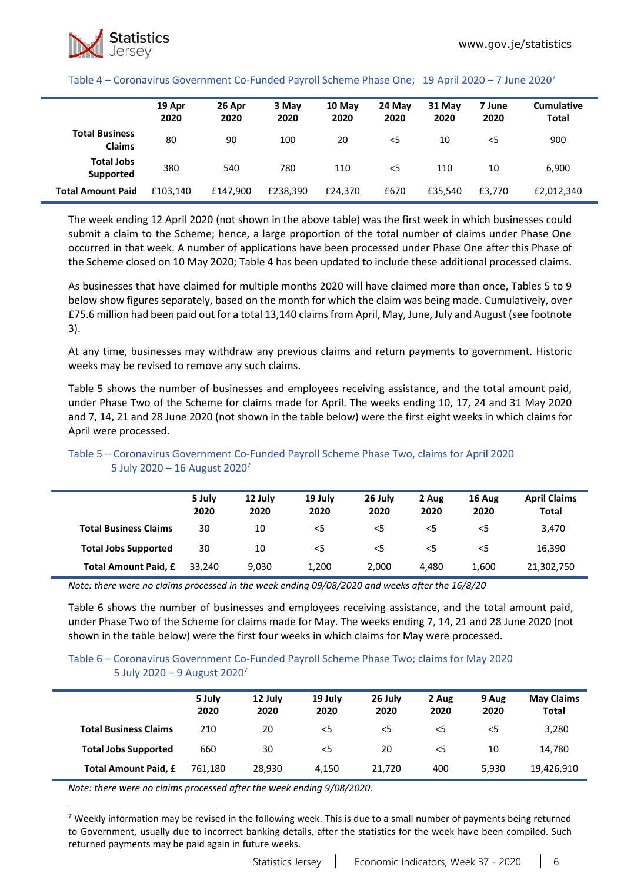### Table 4 – Coronavirus Government Co-Funded Payroll Scheme Phase One; 19 April 2020 – 7 June 2020<sup>7</sup>

|                                        | 19 Apr<br>2020 | 26 Apr<br>2020 | 3 May<br>2020 | 10 May<br>2020 | 24 May<br>2020 | 31 May<br>2020 | 7 June<br>2020 | <b>Cumulative</b><br><b>Total</b> |
|----------------------------------------|----------------|----------------|---------------|----------------|----------------|----------------|----------------|-----------------------------------|
| <b>Total Business</b><br><b>Claims</b> | 80             | 90             | 100           | 20             | <5             | 10             | $<$ 5          | 900                               |
| <b>Total Jobs</b><br>Supported         | 380            | 540            | 780           | 110            | $<$ 5          | 110            | 10             | 6,900                             |
| <b>Total Amount Paid</b>               | £103.140       | £147,900       | £238.390      | £24.370        | £670           | £35.540        | £3.770         | £2,012,340                        |

The week ending 12 April 2020 (not shown in the above table) was the first week in which businesses could submit a claim to the Scheme; hence, a large proportion of the total number of claims under Phase One occurred in that week. A number of applications have been processed under Phase One after this Phase of the Scheme closed on 10 May 2020; Table 4 has been updated to include these additional processed claims.

As businesses that have claimed for multiple months 2020 will have claimed more than once, Tables 5 to 9 below show figures separately, based on the month for which the claim was being made. Cumulatively, over £75.6 million had been paid out for a total 13,140 claimsfrom April, May, June, July and August (see footnote 3).

At any time, businesses may withdraw any previous claims and return payments to government. Historic weeks may be revised to remove any such claims.

Table 5 shows the number of businesses and employees receiving assistance, and the total amount paid, under Phase Two of the Scheme for claims made for April. The weeks ending 10, 17, 24 and 31 May 2020 and 7, 14, 21 and 28 June 2020 (not shown in the table below) were the first eight weeks in which claims for April were processed.

|                              | 5 July<br>2020 | 12 July<br>2020 | 19 July<br>2020 | 26 July<br>2020 | 2 Aug<br>2020 | 16 Aug<br>2020 | <b>April Claims</b><br><b>Total</b> |
|------------------------------|----------------|-----------------|-----------------|-----------------|---------------|----------------|-------------------------------------|
| <b>Total Business Claims</b> | 30             | 10              | $<$ 5           | $<$ 5           | $<$ 5         | <5             | 3.470                               |
| <b>Total Jobs Supported</b>  | 30             | 10              | $<$ 5           | $\leq$          | $<$ 5         | <5             | 16,390                              |
| <b>Total Amount Paid, £</b>  | 33.240         | 9.030           | 1,200           | 2.000           | 4.480         | 1,600          | 21,302,750                          |

### Table 5 – Coronavirus Government Co-Funded Payroll Scheme Phase Two, claims for April 2020 5 July 2020 – 16 August 2020<sup>7</sup>

*Note: there were no claims processed in the week ending 09/08/2020 and weeks after the 16/8/20*

Table 6 shows the number of businesses and employees receiving assistance, and the total amount paid, under Phase Two of the Scheme for claims made for May. The weeks ending 7, 14, 21 and 28 June 2020 (not shown in the table below) were the first four weeks in which claims for May were processed.

### Table 6 – Coronavirus Government Co-Funded Payroll Scheme Phase Two; claims for May 2020 5 July 2020 – 9 August 2020<sup>7</sup>

|                              | 5 July<br>2020 | 12 July<br>2020 | 19 July<br>2020 | 26 July<br>2020 | 2 Aug<br>2020 | 9 Aug<br>2020 | <b>May Claims</b><br><b>Total</b> |
|------------------------------|----------------|-----------------|-----------------|-----------------|---------------|---------------|-----------------------------------|
| <b>Total Business Claims</b> | 210            | 20              | $<$ 5           | $<$ 5           | <5            | $<$ 5         | 3,280                             |
| <b>Total Jobs Supported</b>  | 660            | 30              | $<$ 5           | 20              | <5            | 10            | 14,780                            |
| <b>Total Amount Paid, £</b>  | 761.180        | 28.930          | 4.150           | 21.720          | 400           | 5.930         | 19,426,910                        |

*Note: there were no claims processed after the week ending 9/08/2020.*

<sup>7</sup> Weekly information may be revised in the following week. This is due to a small number of payments being returned to Government, usually due to incorrect banking details, after the statistics for the week have been compiled. Such returned payments may be paid again in future weeks.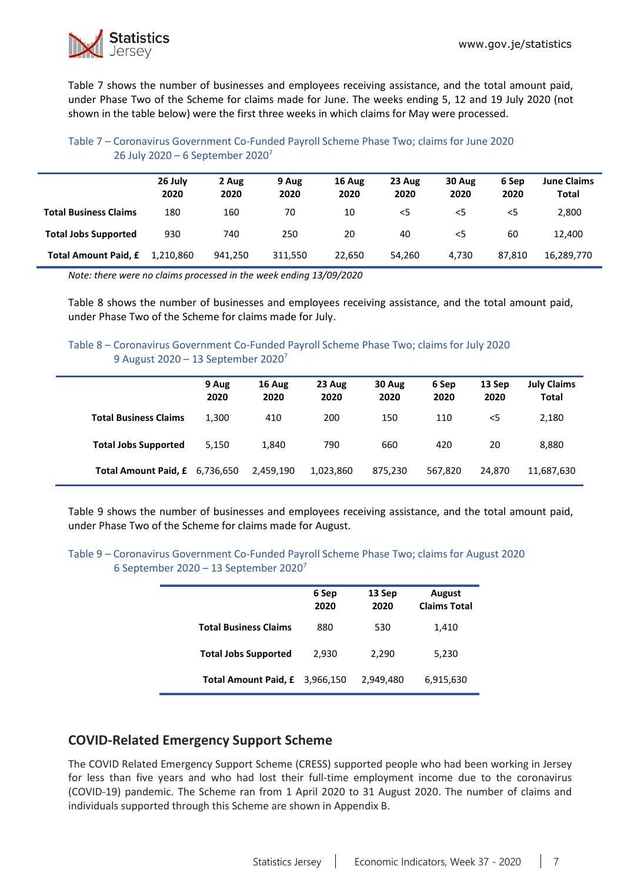

Table 7 shows the number of businesses and employees receiving assistance, and the total amount paid, under Phase Two of the Scheme for claims made for June. The weeks ending 5, 12 and 19 July 2020 (not shown in the table below) were the first three weeks in which claims for May were processed.

## Table 7 – Coronavirus Government Co-Funded Payroll Scheme Phase Two; claims for June 2020 26 July 2020 – 6 September 2020<sup>7</sup>

|                              | 26 July<br>2020 | 2 Aug<br>2020 | 9 Aug<br>2020 | 16 Aug<br>2020 | 23 Aug<br>2020 | 30 Aug<br>2020 | 6 Sep<br>2020 | <b>June Claims</b><br>Total |
|------------------------------|-----------------|---------------|---------------|----------------|----------------|----------------|---------------|-----------------------------|
| <b>Total Business Claims</b> | 180             | 160           | 70            | 10             | $<$ 5          | $<$ 5          | $<$ 5         | 2,800                       |
| <b>Total Jobs Supported</b>  | 930             | 740           | 250           | 20             | 40             | $<$ 5          | 60            | 12.400                      |
| <b>Total Amount Paid, £</b>  | 1.210.860       | 941.250       | 311.550       | 22,650         | 54,260         | 4,730          | 87.810        | 16,289,770                  |

*Note: there were no claims processed in the week ending 13/09/2020*

Table 8 shows the number of businesses and employees receiving assistance, and the total amount paid, under Phase Two of the Scheme for claims made for July.

### Table 8 – Coronavirus Government Co-Funded Payroll Scheme Phase Two; claims for July 2020 9 August 2020 – 13 September 2020<sup>7</sup>

|                                | 9 Aug<br>2020 | 16 Aug<br>2020 | 23 Aug<br>2020 | 30 Aug<br>2020 | 6 Sep<br>2020 | 13 Sep<br>2020 | <b>July Claims</b><br><b>Total</b> |
|--------------------------------|---------------|----------------|----------------|----------------|---------------|----------------|------------------------------------|
| <b>Total Business Claims</b>   | 1,300         | 410            | 200            | 150            | 110           | $<$ 5          | 2,180                              |
| <b>Total Jobs Supported</b>    | 5.150         | 1,840          | 790            | 660            | 420           | 20             | 8,880                              |
| Total Amount Paid, £ 6,736,650 |               | 2,459,190      | 1,023,860      | 875,230        | 567,820       | 24.870         | 11,687,630                         |

Table 9 shows the number of businesses and employees receiving assistance, and the total amount paid, under Phase Two of the Scheme for claims made for August.

### Table 9 – Coronavirus Government Co-Funded Payroll Scheme Phase Two; claims for August 2020 6 September 2020 – 13 September 2020<sup>7</sup>

|                              | 6 Sep<br>2020 | 13 Sep<br>2020 | August<br><b>Claims Total</b> |
|------------------------------|---------------|----------------|-------------------------------|
| <b>Total Business Claims</b> | 880           | 530            | 1,410                         |
| <b>Total Jobs Supported</b>  | 2,930         | 2,290          | 5,230                         |
| Total Amount Paid, £         | 3.966.150     | 2,949,480      | 6,915,630                     |

# **COVID-Related Emergency Support Scheme**

The COVID Related Emergency Support Scheme (CRESS) supported people who had been working in Jersey for less than five years and who had lost their full-time employment income due to the coronavirus (COVID-19) pandemic. The Scheme ran from 1 April 2020 to 31 August 2020. The number of claims and individuals supported through this Scheme are shown in Appendix B.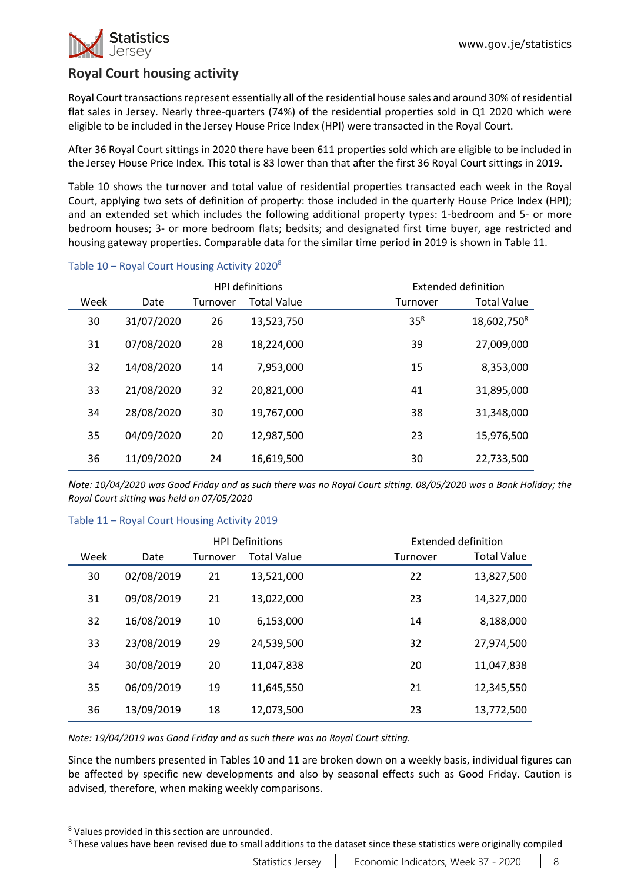

# **Royal Court housing activity**

Royal Court transactions represent essentially all of the residential house sales and around 30% of residential flat sales in Jersey. Nearly three-quarters (74%) of the residential properties sold in Q1 2020 which were eligible to be included in the Jersey House Price Index (HPI) were transacted in the Royal Court.

After 36 Royal Court sittings in 2020 there have been 611 properties sold which are eligible to be included in the Jersey House Price Index. This total is 83 lower than that after the first 36 Royal Court sittings in 2019.

Table 10 shows the turnover and total value of residential properties transacted each week in the Royal Court, applying two sets of definition of property: those included in the quarterly House Price Index (HPI); and an extended set which includes the following additional property types: 1-bedroom and 5- or more bedroom houses; 3- or more bedroom flats; bedsits; and designated first time buyer, age restricted and housing gateway properties. Comparable data for the similar time period in 2019 is shown in Table 11.

|      |            |          | <b>HPI</b> definitions |                 | Extended definition     |
|------|------------|----------|------------------------|-----------------|-------------------------|
| Week | Date       | Turnover | <b>Total Value</b>     | Turnover        | <b>Total Value</b>      |
| 30   | 31/07/2020 | 26       | 13,523,750             | 35 <sup>R</sup> | 18,602,750 <sup>R</sup> |
| 31   | 07/08/2020 | 28       | 18,224,000             | 39              | 27,009,000              |
| 32   | 14/08/2020 | 14       | 7,953,000              | 15              | 8,353,000               |
| 33   | 21/08/2020 | 32       | 20,821,000             | 41              | 31,895,000              |
| 34   | 28/08/2020 | 30       | 19,767,000             | 38              | 31,348,000              |
| 35   | 04/09/2020 | 20       | 12,987,500             | 23              | 15,976,500              |
| 36   | 11/09/2020 | 24       | 16,619,500             | 30              | 22,733,500              |

### Table 10 – Royal Court Housing Activity 2020<sup>8</sup>

*Note: 10/04/2020 was Good Friday and as such there was no Royal Court sitting. 08/05/2020 was a Bank Holiday; the Royal Court sitting was held on 07/05/2020*

### Table 11 – Royal Court Housing Activity 2019

|      |            |          | <b>HPI Definitions</b> |          | Extended definition |
|------|------------|----------|------------------------|----------|---------------------|
| Week | Date       | Turnover | <b>Total Value</b>     | Turnover | Total Value         |
| 30   | 02/08/2019 | 21       | 13,521,000             | 22       | 13,827,500          |
| 31   | 09/08/2019 | 21       | 13,022,000             | 23       | 14,327,000          |
| 32   | 16/08/2019 | 10       | 6,153,000              | 14       | 8,188,000           |
| 33   | 23/08/2019 | 29       | 24,539,500             | 32       | 27,974,500          |
| 34   | 30/08/2019 | 20       | 11,047,838             | 20       | 11,047,838          |
| 35   | 06/09/2019 | 19       | 11,645,550             | 21       | 12,345,550          |
| 36   | 13/09/2019 | 18       | 12,073,500             | 23       | 13,772,500          |

*Note: 19/04/2019 was Good Friday and as such there was no Royal Court sitting.*

Since the numbers presented in Tables 10 and 11 are broken down on a weekly basis, individual figures can be affected by specific new developments and also by seasonal effects such as Good Friday. Caution is advised, therefore, when making weekly comparisons.

R These values have been revised due to small additions to the dataset since these statistics were originally compiled

<sup>8</sup> Values provided in this section are unrounded.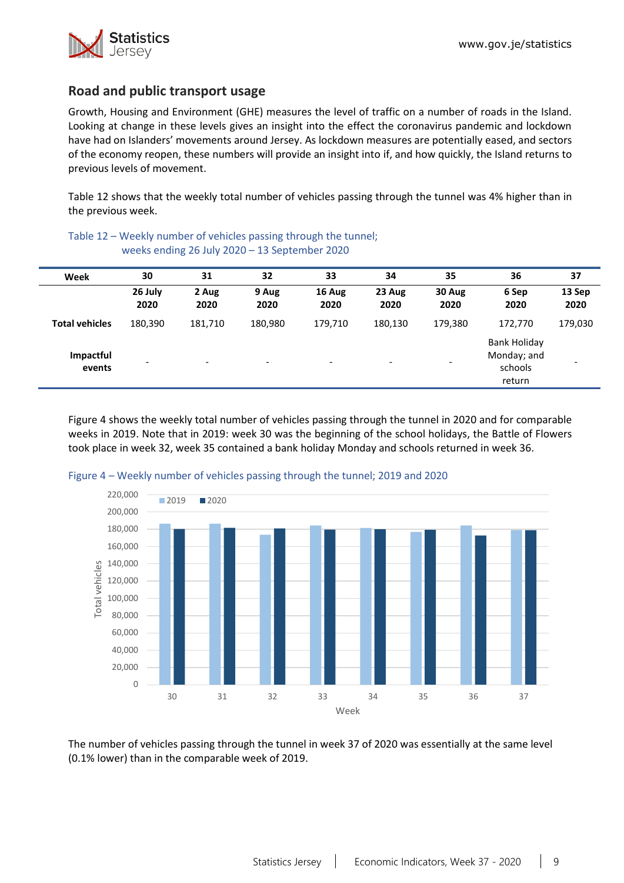

return

## **Road and public transport usage**

Growth, Housing and Environment (GHE) measures the level of traffic on a number of roads in the Island. Looking at change in these levels gives an insight into the effect the coronavirus pandemic and lockdown have had on Islanders' movements around Jersey. As lockdown measures are potentially eased, and sectors of the economy reopen, these numbers will provide an insight into if, and how quickly, the Island returns to previous levels of movement.

Table 12 shows that the weekly total number of vehicles passing through the tunnel was 4% higher than in the previous week.

|                       | weeks ending 26 July 2020 - 13 September 2020 |                          |                          |                          |                          |                          |                                               |                |  |  |  |
|-----------------------|-----------------------------------------------|--------------------------|--------------------------|--------------------------|--------------------------|--------------------------|-----------------------------------------------|----------------|--|--|--|
| Week                  | 30                                            | 31                       | 32                       | 33                       | 34                       | 35                       | 36                                            | 37             |  |  |  |
|                       | 26 July<br>2020                               | 2 Aug<br>2020            | 9 Aug<br>2020            | 16 Aug<br>2020           | 23 Aug<br>2020           | 30 Aug<br>2020           | 6 Sep<br>2020                                 | 13 Sep<br>2020 |  |  |  |
| <b>Total vehicles</b> | 180,390                                       | 181.710                  | 180,980                  | 179,710                  | 180,130                  | 179,380                  | 172,770                                       | 179,030        |  |  |  |
| Impactful<br>events   | -                                             | $\overline{\phantom{0}}$ | $\overline{\phantom{0}}$ | $\overline{\phantom{a}}$ | $\overline{\phantom{a}}$ | $\overline{\phantom{a}}$ | <b>Bank Holiday</b><br>Monday; and<br>schools |                |  |  |  |

Table 12 – Weekly number of vehicles passing through the tunnel; weeks ending 26 July 2020 – 13 September 2020

Figure 4 shows the weekly total number of vehicles passing through the tunnel in 2020 and for comparable weeks in 2019. Note that in 2019: week 30 was the beginning of the school holidays, the Battle of Flowers took place in week 32, week 35 contained a bank holiday Monday and schools returned in week 36.





The number of vehicles passing through the tunnel in week 37 of 2020 was essentially at the same level (0.1% lower) than in the comparable week of 2019.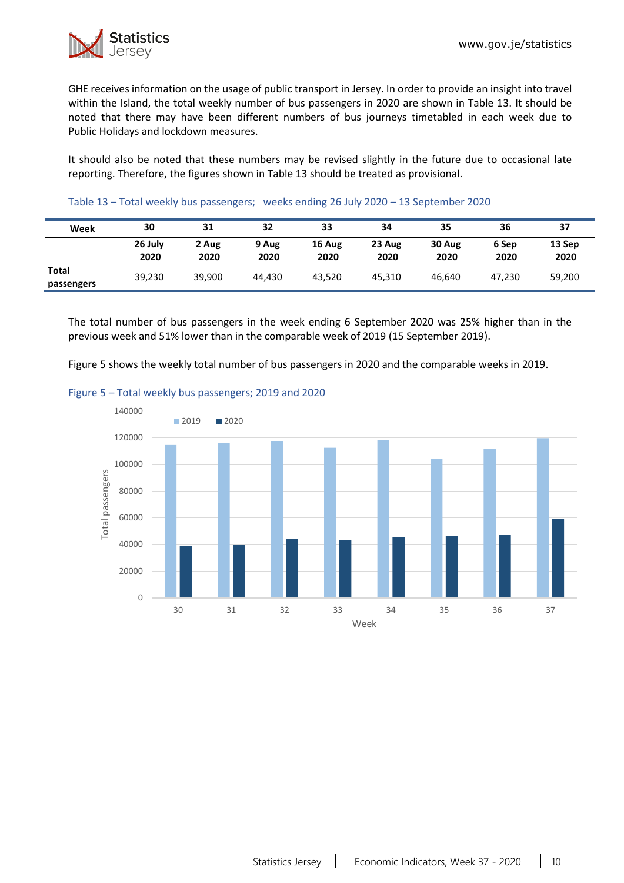GHE receives information on the usage of public transport in Jersey. In order to provide an insight into travel within the Island, the total weekly number of bus passengers in 2020 are shown in Table 13. It should be noted that there may have been different numbers of bus journeys timetabled in each week due to Public Holidays and lockdown measures.

It should also be noted that these numbers may be revised slightly in the future due to occasional late reporting. Therefore, the figures shown in Table 13 should be treated as provisional.

| Table 13 - Total weekly bus passengers; weeks ending 26 July 2020 - 13 September 2020 |  |  |
|---------------------------------------------------------------------------------------|--|--|
|---------------------------------------------------------------------------------------|--|--|

| Week                | 30              | 31            | 32            | 33             | 34             | 35             | 36            | 37             |
|---------------------|-----------------|---------------|---------------|----------------|----------------|----------------|---------------|----------------|
|                     | 26 July<br>2020 | 2 Aug<br>2020 | 9 Aug<br>2020 | 16 Aug<br>2020 | 23 Aug<br>2020 | 30 Aug<br>2020 | 6 Sep<br>2020 | 13 Sep<br>2020 |
| Total<br>passengers | 39,230          | 39,900        | 44.430        | 43.520         | 45.310         | 46.640         | 47,230        | 59,200         |

The total number of bus passengers in the week ending 6 September 2020 was 25% higher than in the previous week and 51% lower than in the comparable week of 2019 (15 September 2019).

Figure 5 shows the weekly total number of bus passengers in 2020 and the comparable weeks in 2019.



### Figure 5 – Total weekly bus passengers; 2019 and 2020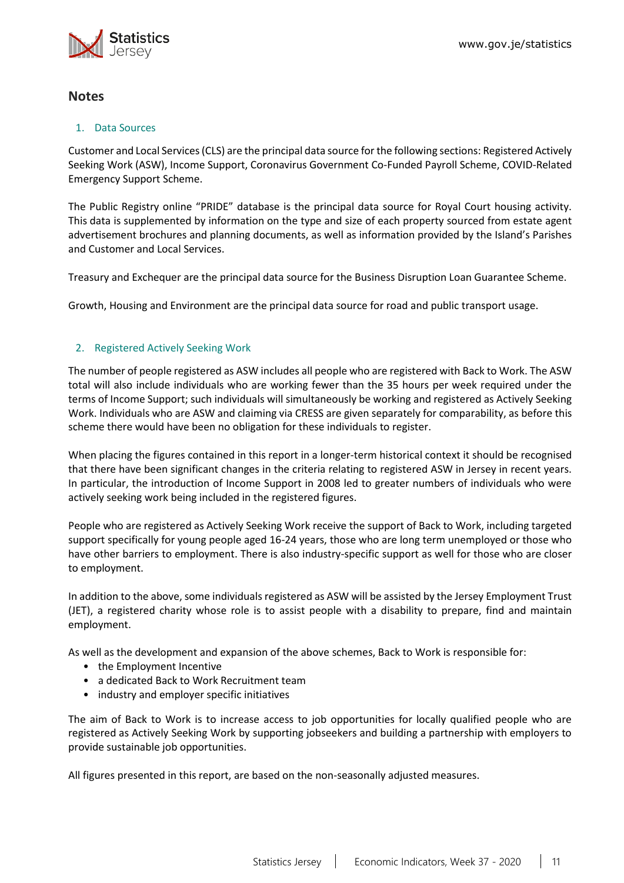

## **Notes**

### 1. Data Sources

Customer and Local Services (CLS) are the principal data source for the following sections: Registered Actively Seeking Work (ASW), Income Support, Coronavirus Government Co-Funded Payroll Scheme, COVID-Related Emergency Support Scheme.

The Public Registry online "PRIDE" database is the principal data source for Royal Court housing activity. This data is supplemented by information on the type and size of each property sourced from estate agent advertisement brochures and planning documents, as well as information provided by the Island's Parishes and Customer and Local Services.

Treasury and Exchequer are the principal data source for the Business Disruption Loan Guarantee Scheme.

Growth, Housing and Environment are the principal data source for road and public transport usage.

## 2. Registered Actively Seeking Work

The number of people registered as ASW includes all people who are registered with Back to Work. The ASW total will also include individuals who are working fewer than the 35 hours per week required under the terms of Income Support; such individuals will simultaneously be working and registered as Actively Seeking Work. Individuals who are ASW and claiming via CRESS are given separately for comparability, as before this scheme there would have been no obligation for these individuals to register.

When placing the figures contained in this report in a longer-term historical context it should be recognised that there have been significant changes in the criteria relating to registered ASW in Jersey in recent years. In particular, the introduction of Income Support in 2008 led to greater numbers of individuals who were actively seeking work being included in the registered figures.

People who are registered as Actively Seeking Work receive the support of Back to Work, including targeted support specifically for young people aged 16-24 years, those who are long term unemployed or those who have other barriers to employment. There is also industry-specific support as well for those who are closer to employment.

In addition to the above, some individuals registered as ASW will be assisted by the Jersey Employment Trust (JET), a registered charity whose role is to assist people with a disability to prepare, find and maintain employment.

As well as the development and expansion of the above schemes, Back to Work is responsible for:

- the Employment Incentive
- a dedicated Back to Work Recruitment team
- industry and employer specific initiatives

The aim of Back to Work is to increase access to job opportunities for locally qualified people who are registered as Actively Seeking Work by supporting jobseekers and building a partnership with employers to provide sustainable job opportunities.

All figures presented in this report, are based on the non-seasonally adjusted measures.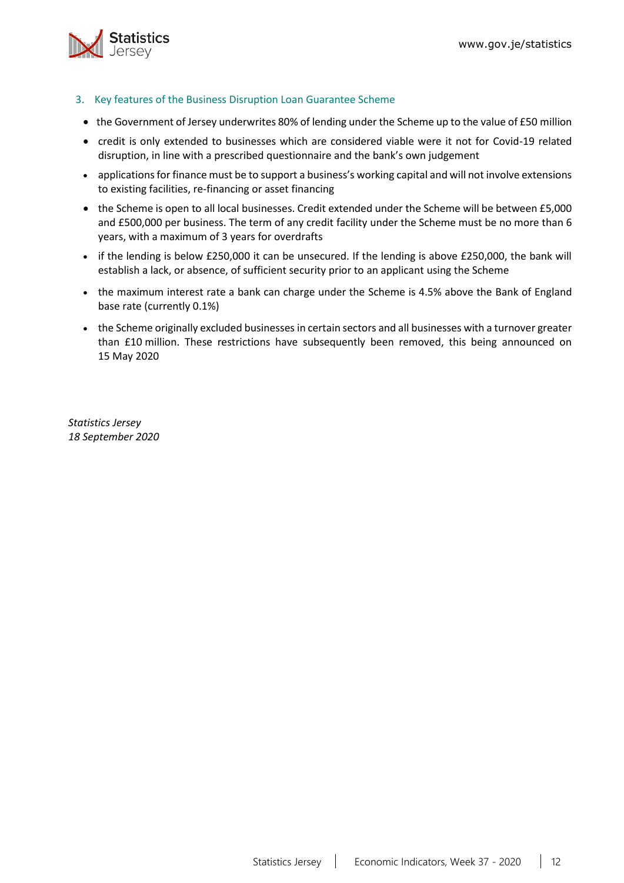

- <span id="page-11-0"></span>3. Key features of the Business Disruption Loan Guarantee Scheme
- the Government of Jersey underwrites 80% of lending under the Scheme up to the value of £50 million
- credit is only extended to businesses which are considered viable were it not for Covid-19 related disruption, in line with a prescribed questionnaire and the bank's own judgement
- applications for finance must be to support a business's working capital and will not involve extensions to existing facilities, re-financing or asset financing
- the Scheme is open to all local businesses. Credit extended under the Scheme will be between £5,000 and £500,000 per business. The term of any credit facility under the Scheme must be no more than 6 years, with a maximum of 3 years for overdrafts
- if the lending is below £250,000 it can be unsecured. If the lending is above £250,000, the bank will establish a lack, or absence, of sufficient security prior to an applicant using the Scheme
- the maximum interest rate a bank can charge under the Scheme is 4.5% above the Bank of England base rate (currently 0.1%)
- the Scheme originally excluded businesses in certain sectors and all businesses with a turnover greater than £10 million. These restrictions have subsequently been removed, this being announced on 15 May 2020

*Statistics Jersey 18 September 2020*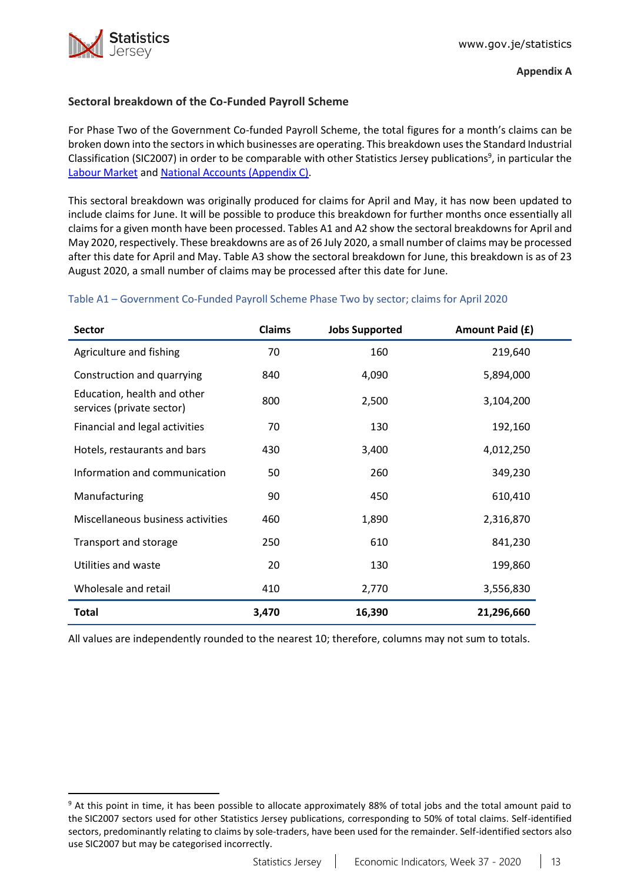

## <span id="page-12-0"></span>**Sectoral breakdown of the Co-Funded Payroll Scheme**

For Phase Two of the Government Co-funded Payroll Scheme, the total figures for a month's claims can be broken down into the sectorsin which businesses are operating. This breakdown usesthe Standard Industrial Classification (SIC2007) in order to be comparable with other Statistics Jersey publications<sup>9</sup>, in particular the [Labour Market](https://www.gov.je/Government/JerseyInFigures/EmploymentEarnings/Pages/LabourMarket.aspx) and [National Accounts \(Appendix C\).](https://www.gov.je/SiteCollectionDocuments/Government%20and%20administration/R%20GVA%20and%20GDP%202018%2020191002%20SJ.pdf)

This sectoral breakdown was originally produced for claims for April and May, it has now been updated to include claims for June. It will be possible to produce this breakdown for further months once essentially all claims for a given month have been processed. Tables A1 and A2 show the sectoral breakdowns for April and May 2020, respectively. These breakdowns are as of 26 July 2020, a small number of claims may be processed after this date for April and May. Table A3 show the sectoral breakdown for June, this breakdown is as of 23 August 2020, a small number of claims may be processed after this date for June.

## Table A1 – Government Co-Funded Payroll Scheme Phase Two by sector; claims for April 2020

| Sector                                                   | <b>Claims</b> | <b>Jobs Supported</b> | Amount Paid (£) |
|----------------------------------------------------------|---------------|-----------------------|-----------------|
| Agriculture and fishing                                  | 70            | 160                   | 219,640         |
| Construction and quarrying                               | 840           | 4,090                 | 5,894,000       |
| Education, health and other<br>services (private sector) | 800           | 2,500                 | 3,104,200       |
| Financial and legal activities                           | 70            | 130                   | 192,160         |
| Hotels, restaurants and bars                             | 430           | 3,400                 | 4,012,250       |
| Information and communication                            | 50            | 260                   | 349,230         |
| Manufacturing                                            | 90            | 450                   | 610,410         |
| Miscellaneous business activities                        | 460           | 1,890                 | 2,316,870       |
| Transport and storage                                    | 250           | 610                   | 841,230         |
| Utilities and waste                                      | 20            | 130                   | 199,860         |
| Wholesale and retail                                     | 410           | 2,770                 | 3,556,830       |
| <b>Total</b>                                             | 3,470         | 16,390                | 21,296,660      |

All values are independently rounded to the nearest 10; therefore, columns may not sum to totals.

<sup>&</sup>lt;sup>9</sup> At this point in time, it has been possible to allocate approximately 88% of total jobs and the total amount paid to the SIC2007 sectors used for other Statistics Jersey publications, corresponding to 50% of total claims. Self-identified sectors, predominantly relating to claims by sole-traders, have been used for the remainder. Self-identified sectors also use SIC2007 but may be categorised incorrectly.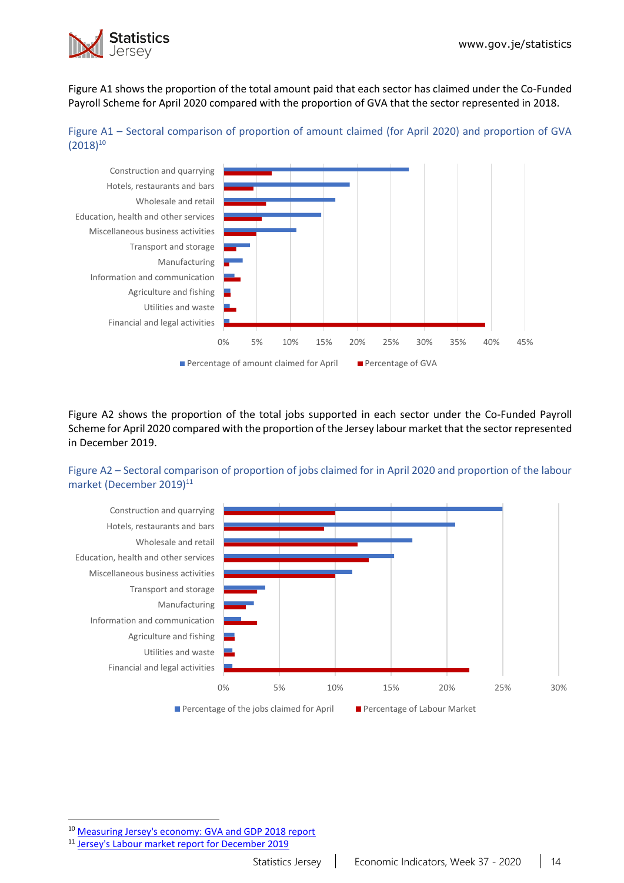

Figure A1 shows the proportion of the total amount paid that each sector has claimed under the Co-Funded Payroll Scheme for April 2020 compared with the proportion of GVA that the sector represented in 2018.





Figure A2 shows the proportion of the total jobs supported in each sector under the Co-Funded Payroll Scheme for April 2020 compared with the proportion of the Jersey labour market that the sector represented in December 2019.

## Figure A2 – Sectoral comparison of proportion of jobs claimed for in April 2020 and proportion of the labour market (December 2019)<sup>11</sup>



<sup>10</sup> [Measuring Jersey's economy: GVA and GDP 2018 report](https://www.gov.je/SiteCollectionDocuments/Government%20and%20administration/R%20GVA%20and%20GDP%202018%2020191002%20SJ.pdf)

<sup>11</sup> [Jersey's Labour market report for December 2019](https://www.gov.je/SiteCollectionDocuments/Government%20and%20administration/R%20Jersey%20Labour%20Market%20Dec%2019%2020200528%20SJ.pdf)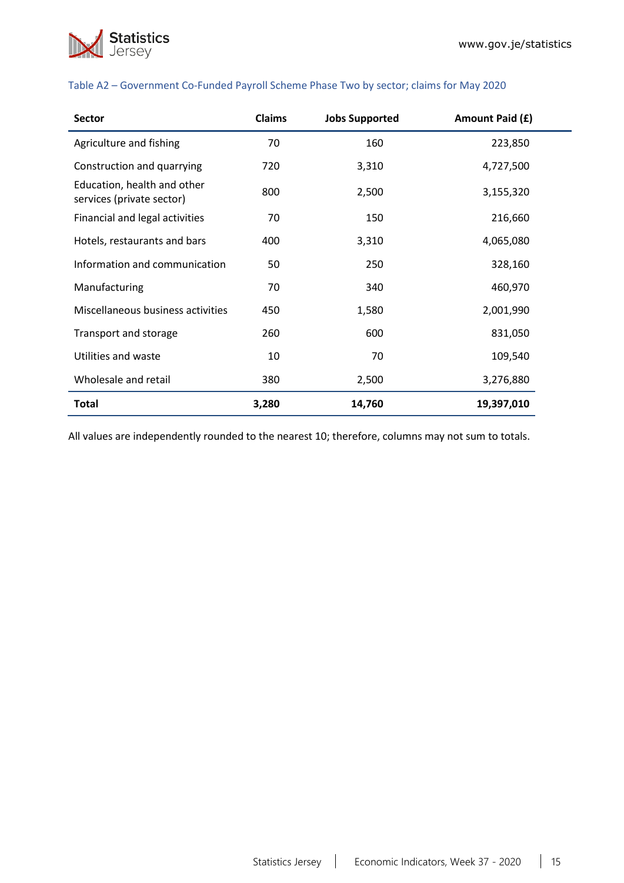

| <b>Sector</b>                                            | Claims | <b>Jobs Supported</b> | Amount Paid (£) |
|----------------------------------------------------------|--------|-----------------------|-----------------|
| Agriculture and fishing                                  | 70     | 160                   | 223,850         |
| Construction and quarrying                               | 720    | 3,310                 | 4,727,500       |
| Education, health and other<br>services (private sector) | 800    | 2,500                 | 3,155,320       |
| Financial and legal activities                           | 70     | 150                   | 216,660         |
| Hotels, restaurants and bars                             | 400    | 3,310                 | 4,065,080       |
| Information and communication                            | 50     | 250                   | 328,160         |
| Manufacturing                                            | 70     | 340                   | 460,970         |
| Miscellaneous business activities                        | 450    | 1,580                 | 2,001,990       |
| Transport and storage                                    | 260    | 600                   | 831,050         |
| Utilities and waste                                      | 10     | 70                    | 109,540         |
| Wholesale and retail                                     | 380    | 2,500                 | 3,276,880       |
| <b>Total</b>                                             | 3,280  | 14,760                | 19,397,010      |

### Table A2 – Government Co-Funded Payroll Scheme Phase Two by sector; claims for May 2020

All values are independently rounded to the nearest 10; therefore, columns may not sum to totals.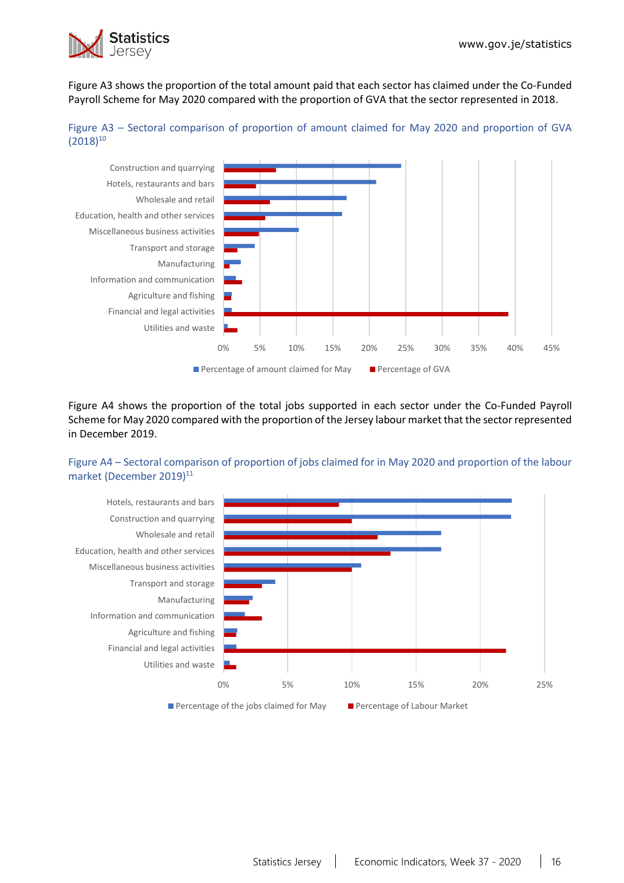

Figure A3 shows the proportion of the total amount paid that each sector has claimed under the Co-Funded Payroll Scheme for May 2020 compared with the proportion of GVA that the sector represented in 2018.





Figure A4 shows the proportion of the total jobs supported in each sector under the Co-Funded Payroll Scheme for May 2020 compared with the proportion of the Jersey labour market that the sector represented in December 2019.

## Figure A4 – Sectoral comparison of proportion of jobs claimed for in May 2020 and proportion of the labour market (December 2019)<sup>11</sup>

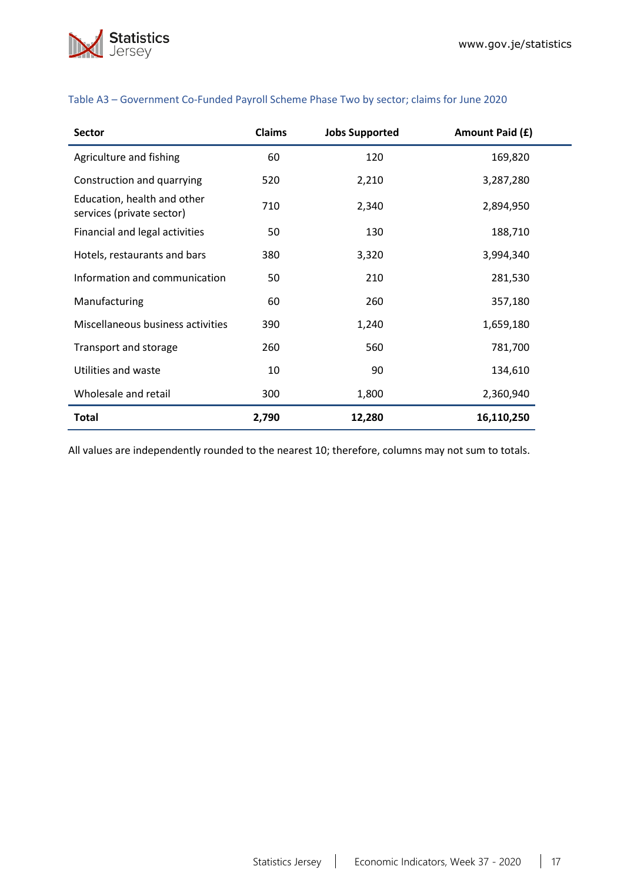

| <b>Sector</b>                                            | <b>Claims</b> | <b>Jobs Supported</b> | Amount Paid (£) |
|----------------------------------------------------------|---------------|-----------------------|-----------------|
| Agriculture and fishing                                  | 60            | 120                   | 169,820         |
| Construction and quarrying                               | 520           | 2,210                 | 3,287,280       |
| Education, health and other<br>services (private sector) | 710           | 2,340                 | 2,894,950       |
| Financial and legal activities                           | 50            | 130                   | 188,710         |
| Hotels, restaurants and bars                             | 380           | 3,320                 | 3,994,340       |
| Information and communication                            | 50            | 210                   | 281,530         |
| Manufacturing                                            | 60            | 260                   | 357,180         |
| Miscellaneous business activities                        | 390           | 1,240                 | 1,659,180       |
| Transport and storage                                    | 260           | 560                   | 781,700         |
| Utilities and waste                                      | 10            | 90                    | 134,610         |
| Wholesale and retail                                     | 300           | 1,800                 | 2,360,940       |
| Total                                                    | 2,790         | 12,280                | 16,110,250      |

## Table A3 – Government Co-Funded Payroll Scheme Phase Two by sector; claims for June 2020

All values are independently rounded to the nearest 10; therefore, columns may not sum to totals.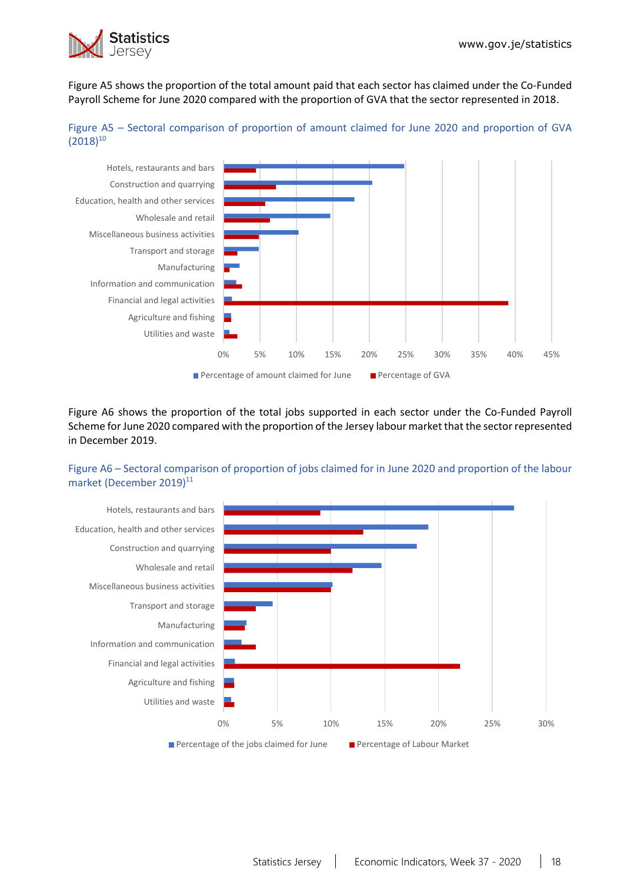

Figure A5 shows the proportion of the total amount paid that each sector has claimed under the Co-Funded Payroll Scheme for June 2020 compared with the proportion of GVA that the sector represented in 2018.





Figure A6 shows the proportion of the total jobs supported in each sector under the Co-Funded Payroll Scheme for June 2020 compared with the proportion of the Jersey labour market that the sector represented in December 2019.

## Figure A6 – Sectoral comparison of proportion of jobs claimed for in June 2020 and proportion of the labour market (December 2019)<sup>11</sup>